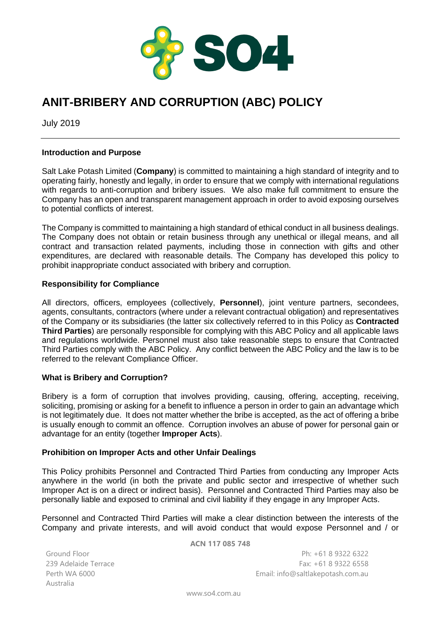

# **ANIT-BRIBERY AND CORRUPTION (ABC) POLICY**

July 2019

## **Introduction and Purpose**

Salt Lake Potash Limited (**Company**) is committed to maintaining a high standard of integrity and to operating fairly, honestly and legally, in order to ensure that we comply with international regulations with regards to anti-corruption and bribery issues. We also make full commitment to ensure the Company has an open and transparent management approach in order to avoid exposing ourselves to potential conflicts of interest.

The Company is committed to maintaining a high standard of ethical conduct in all business dealings. The Company does not obtain or retain business through any unethical or illegal means, and all contract and transaction related payments, including those in connection with gifts and other expenditures, are declared with reasonable details. The Company has developed this policy to prohibit inappropriate conduct associated with bribery and corruption.

## **Responsibility for Compliance**

All directors, officers, employees (collectively, **Personnel**), joint venture partners, secondees, agents, consultants, contractors (where under a relevant contractual obligation) and representatives of the Company or its subsidiaries (the latter six collectively referred to in this Policy as **Contracted Third Parties**) are personally responsible for complying with this ABC Policy and all applicable laws and regulations worldwide. Personnel must also take reasonable steps to ensure that Contracted Third Parties comply with the ABC Policy. Any conflict between the ABC Policy and the law is to be referred to the relevant Compliance Officer.

# **What is Bribery and Corruption?**

Bribery is a form of corruption that involves providing, causing, offering, accepting, receiving, soliciting, promising or asking for a benefit to influence a person in order to gain an advantage which is not legitimately due. It does not matter whether the bribe is accepted, as the act of offering a bribe is usually enough to commit an offence. Corruption involves an abuse of power for personal gain or advantage for an entity (together **Improper Acts**).

# **Prohibition on Improper Acts and other Unfair Dealings**

This Policy prohibits Personnel and Contracted Third Parties from conducting any Improper Acts anywhere in the world (in both the private and public sector and irrespective of whether such Improper Act is on a direct or indirect basis). Personnel and Contracted Third Parties may also be personally liable and exposed to criminal and civil liability if they engage in any Improper Acts.

Personnel and Contracted Third Parties will make a clear distinction between the interests of the Company and private interests, and will avoid conduct that would expose Personnel and / or

Ground Floor 239 Adelaide Terrace Australia

**ACN 117 085 748**

Ph: +61 8 9322 6322 Fax: +61 8 9322 6558 Perth WA 6000 Email: info@saltlakepotash.com.au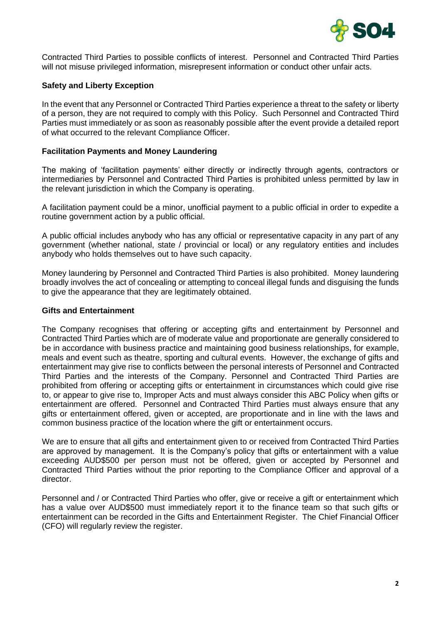

Contracted Third Parties to possible conflicts of interest. Personnel and Contracted Third Parties will not misuse privileged information, misrepresent information or conduct other unfair acts.

# **Safety and Liberty Exception**

In the event that any Personnel or Contracted Third Parties experience a threat to the safety or liberty of a person, they are not required to comply with this Policy. Such Personnel and Contracted Third Parties must immediately or as soon as reasonably possible after the event provide a detailed report of what occurred to the relevant Compliance Officer.

### **Facilitation Payments and Money Laundering**

The making of 'facilitation payments' either directly or indirectly through agents, contractors or intermediaries by Personnel and Contracted Third Parties is prohibited unless permitted by law in the relevant jurisdiction in which the Company is operating.

A facilitation payment could be a minor, unofficial payment to a public official in order to expedite a routine government action by a public official.

A public official includes anybody who has any official or representative capacity in any part of any government (whether national, state / provincial or local) or any regulatory entities and includes anybody who holds themselves out to have such capacity.

Money laundering by Personnel and Contracted Third Parties is also prohibited. Money laundering broadly involves the act of concealing or attempting to conceal illegal funds and disguising the funds to give the appearance that they are legitimately obtained.

#### **Gifts and Entertainment**

The Company recognises that offering or accepting gifts and entertainment by Personnel and Contracted Third Parties which are of moderate value and proportionate are generally considered to be in accordance with business practice and maintaining good business relationships, for example, meals and event such as theatre, sporting and cultural events. However, the exchange of gifts and entertainment may give rise to conflicts between the personal interests of Personnel and Contracted Third Parties and the interests of the Company. Personnel and Contracted Third Parties are prohibited from offering or accepting gifts or entertainment in circumstances which could give rise to, or appear to give rise to, Improper Acts and must always consider this ABC Policy when gifts or entertainment are offered. Personnel and Contracted Third Parties must always ensure that any gifts or entertainment offered, given or accepted, are proportionate and in line with the laws and common business practice of the location where the gift or entertainment occurs.

We are to ensure that all gifts and entertainment given to or received from Contracted Third Parties are approved by management. It is the Company's policy that gifts or entertainment with a value exceeding AUD\$500 per person must not be offered, given or accepted by Personnel and Contracted Third Parties without the prior reporting to the Compliance Officer and approval of a director.

Personnel and / or Contracted Third Parties who offer, give or receive a gift or entertainment which has a value over AUD\$500 must immediately report it to the finance team so that such gifts or entertainment can be recorded in the Gifts and Entertainment Register. The Chief Financial Officer (CFO) will regularly review the register.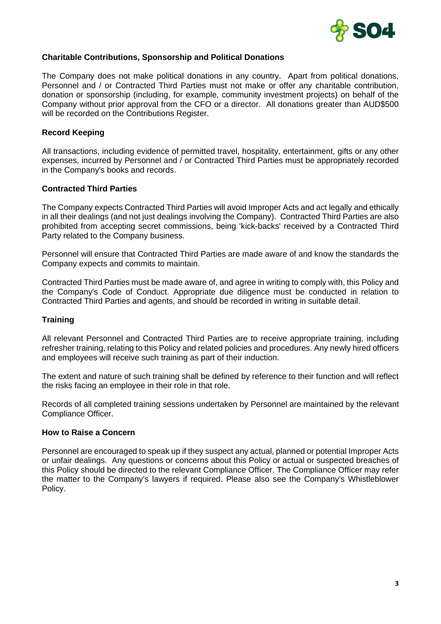

# **Charitable Contributions, Sponsorship and Political Donations**

The Company does not make political donations in any country. Apart from political donations, Personnel and / or Contracted Third Parties must not make or offer any charitable contribution, donation or sponsorship (including, for example, community investment projects) on behalf of the Company without prior approval from the CFO or a director. All donations greater than AUD\$500 will be recorded on the Contributions Register.

#### **Record Keeping**

All transactions, including evidence of permitted travel, hospitality, entertainment, gifts or any other expenses, incurred by Personnel and / or Contracted Third Parties must be appropriately recorded in the Company's books and records.

#### **Contracted Third Parties**

The Company expects Contracted Third Parties will avoid Improper Acts and act legally and ethically in all their dealings (and not just dealings involving the Company). Contracted Third Parties are also prohibited from accepting secret commissions, being 'kick-backs' received by a Contracted Third Party related to the Company business.

Personnel will ensure that Contracted Third Parties are made aware of and know the standards the Company expects and commits to maintain.

Contracted Third Parties must be made aware of, and agree in writing to comply with, this Policy and the Company's Code of Conduct. Appropriate due diligence must be conducted in relation to Contracted Third Parties and agents, and should be recorded in writing in suitable detail.

#### **Training**

All relevant Personnel and Contracted Third Parties are to receive appropriate training, including refresher training, relating to this Policy and related policies and procedures. Any newly hired officers and employees will receive such training as part of their induction.

The extent and nature of such training shall be defined by reference to their function and will reflect the risks facing an employee in their role in that role.

Records of all completed training sessions undertaken by Personnel are maintained by the relevant Compliance Officer.

#### **How to Raise a Concern**

Personnel are encouraged to speak up if they suspect any actual, planned or potential Improper Acts or unfair dealings. Any questions or concerns about this Policy or actual or suspected breaches of this Policy should be directed to the relevant Compliance Officer. The Compliance Officer may refer the matter to the Company's lawyers if required. Please also see the Company's Whistleblower Policy.